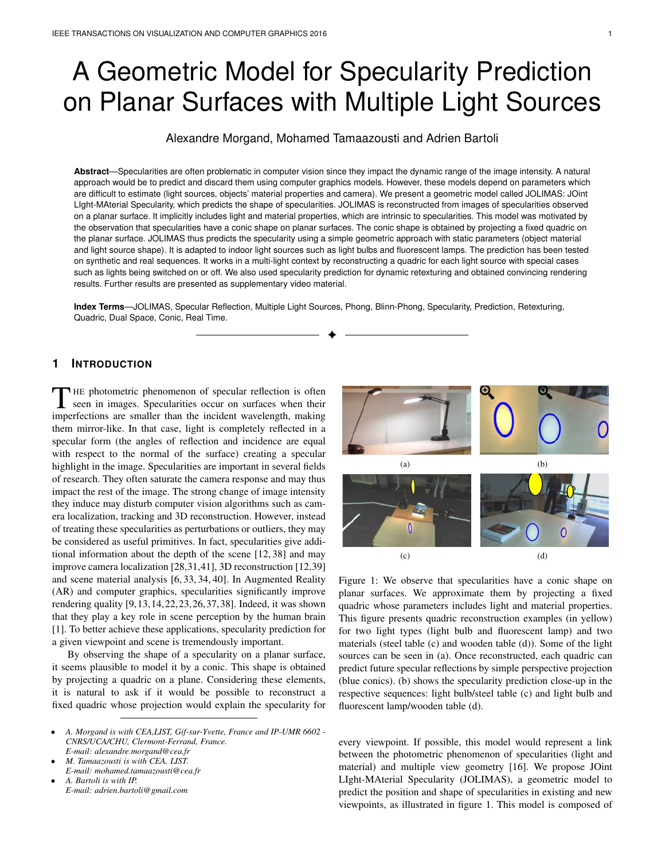# A Geometric Model for Specularity Prediction on Planar Surfaces with Multiple Light Sources

Alexandre Morgand, Mohamed Tamaazousti and Adrien Bartoli

**Abstract**—Specularities are often problematic in computer vision since they impact the dynamic range of the image intensity. A natural approach would be to predict and discard them using computer graphics models. However, these models depend on parameters which are difficult to estimate (light sources, objects' material properties and camera). We present a geometric model called JOLIMAS: JOint LIght-MAterial Specularity, which predicts the shape of specularities. JOLIMAS is reconstructed from images of specularities observed on a planar surface. It implicitly includes light and material properties, which are intrinsic to specularities. This model was motivated by the observation that specularities have a conic shape on planar surfaces. The conic shape is obtained by projecting a fixed quadric on the planar surface. JOLIMAS thus predicts the specularity using a simple geometric approach with static parameters (object material and light source shape). It is adapted to indoor light sources such as light bulbs and fluorescent lamps. The prediction has been tested on synthetic and real sequences. It works in a multi-light context by reconstructing a quadric for each light source with special cases such as lights being switched on or off. We also used specularity prediction for dynamic retexturing and obtained convincing rendering results. Further results are presented as supplementary video material.

**Index Terms**—JOLIMAS, Specular Reflection, Multiple Light Sources, Phong, Blinn-Phong, Specularity, Prediction, Retexturing, Quadric, Dual Space, Conic, Real Time.

✦

# **1 INTRODUCTION**

THE photometric phenomenon of specular reflection is often<br>seen in images. Specularities occur on surfaces when their<br>imperfections are employ than the incident wavelength, melting HE photometric phenomenon of specular reflection is often imperfections are smaller than the incident wavelength, making them mirror-like. In that case, light is completely reflected in a specular form (the angles of reflection and incidence are equal with respect to the normal of the surface) creating a specular highlight in the image. Specularities are important in several fields of research. They often saturate the camera response and may thus impact the rest of the image. The strong change of image intensity they induce may disturb computer vision algorithms such as camera localization, tracking and 3D reconstruction. However, instead of treating these specularities as perturbations or outliers, they may be considered as useful primitives. In fact, specularities give additional information about the depth of the scene [12, 38] and may improve camera localization [28,31,41], 3D reconstruction [12,39] and scene material analysis [6, 33, 34, 40]. In Augmented Reality (AR) and computer graphics, specularities significantly improve rendering quality [9,13,14,22,23,26,37,38]. Indeed, it was shown that they play a key role in scene perception by the human brain [1]. To better achieve these applications, specularity prediction for a given viewpoint and scene is tremendously important.

By observing the shape of a specularity on a planar surface, it seems plausible to model it by a conic. This shape is obtained by projecting a quadric on a plane. Considering these elements, it is natural to ask if it would be possible to reconstruct a fixed quadric whose projection would explain the specularity for

- *M. Tamaazousti is with CEA, LIST. E-mail: mohamed.tamaazousti@cea.fr*
- *A. Bartoli is with IP. E-mail: adrien.bartoli@gmail.com*



Figure 1: We observe that specularities have a conic shape on planar surfaces. We approximate them by projecting a fixed quadric whose parameters includes light and material properties. This figure presents quadric reconstruction examples (in yellow) for two light types (light bulb and fluorescent lamp) and two materials (steel table (c) and wooden table (d)). Some of the light sources can be seen in (a). Once reconstructed, each quadric can predict future specular reflections by simple perspective projection (blue conics). (b) shows the specularity prediction close-up in the respective sequences: light bulb/steel table (c) and light bulb and fluorescent lamp/wooden table (d).

every viewpoint. If possible, this model would represent a link between the photometric phenomenon of specularities (light and material) and multiple view geometry [16]. We propose JOint LIght-MAterial Specularity (JOLIMAS), a geometric model to predict the position and shape of specularities in existing and new viewpoints, as illustrated in figure 1. This model is composed of

<sup>•</sup> *A. Morgand is with CEA,LIST, Gif-sur-Yvette, France and IP-UMR 6602 - CNRS/UCA/CHU, Clermont-Ferrand, France. E-mail: alexandre.morgand@cea.fr*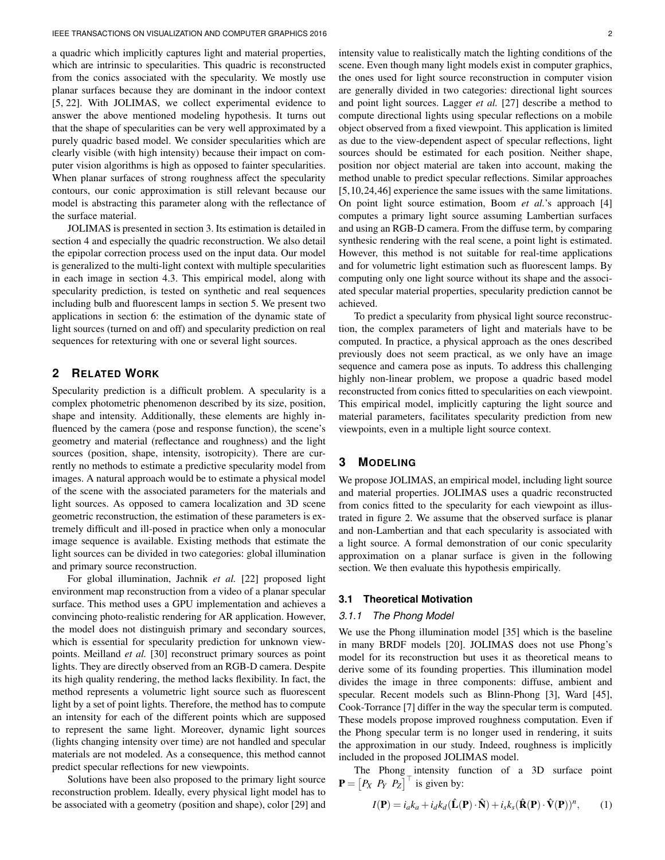a quadric which implicitly captures light and material properties, which are intrinsic to specularities. This quadric is reconstructed from the conics associated with the specularity. We mostly use planar surfaces because they are dominant in the indoor context [5, 22]. With JOLIMAS, we collect experimental evidence to answer the above mentioned modeling hypothesis. It turns out that the shape of specularities can be very well approximated by a purely quadric based model. We consider specularities which are clearly visible (with high intensity) because their impact on computer vision algorithms is high as opposed to fainter specularities. When planar surfaces of strong roughness affect the specularity contours, our conic approximation is still relevant because our model is abstracting this parameter along with the reflectance of the surface material.

JOLIMAS is presented in section 3. Its estimation is detailed in section 4 and especially the quadric reconstruction. We also detail the epipolar correction process used on the input data. Our model is generalized to the multi-light context with multiple specularities in each image in section 4.3. This empirical model, along with specularity prediction, is tested on synthetic and real sequences including bulb and fluorescent lamps in section 5. We present two applications in section 6: the estimation of the dynamic state of light sources (turned on and off) and specularity prediction on real sequences for retexturing with one or several light sources.

# **2 RELATED WORK**

Specularity prediction is a difficult problem. A specularity is a complex photometric phenomenon described by its size, position, shape and intensity. Additionally, these elements are highly influenced by the camera (pose and response function), the scene's geometry and material (reflectance and roughness) and the light sources (position, shape, intensity, isotropicity). There are currently no methods to estimate a predictive specularity model from images. A natural approach would be to estimate a physical model of the scene with the associated parameters for the materials and light sources. As opposed to camera localization and 3D scene geometric reconstruction, the estimation of these parameters is extremely difficult and ill-posed in practice when only a monocular image sequence is available. Existing methods that estimate the light sources can be divided in two categories: global illumination and primary source reconstruction.

For global illumination, Jachnik *et al.* [22] proposed light environment map reconstruction from a video of a planar specular surface. This method uses a GPU implementation and achieves a convincing photo-realistic rendering for AR application. However, the model does not distinguish primary and secondary sources, which is essential for specularity prediction for unknown viewpoints. Meilland *et al.* [30] reconstruct primary sources as point lights. They are directly observed from an RGB-D camera. Despite its high quality rendering, the method lacks flexibility. In fact, the method represents a volumetric light source such as fluorescent light by a set of point lights. Therefore, the method has to compute an intensity for each of the different points which are supposed to represent the same light. Moreover, dynamic light sources (lights changing intensity over time) are not handled and specular materials are not modeled. As a consequence, this method cannot predict specular reflections for new viewpoints.

Solutions have been also proposed to the primary light source reconstruction problem. Ideally, every physical light model has to be associated with a geometry (position and shape), color [29] and

intensity value to realistically match the lighting conditions of the scene. Even though many light models exist in computer graphics, the ones used for light source reconstruction in computer vision are generally divided in two categories: directional light sources and point light sources. Lagger *et al.* [27] describe a method to compute directional lights using specular reflections on a mobile object observed from a fixed viewpoint. This application is limited as due to the view-dependent aspect of specular reflections, light sources should be estimated for each position. Neither shape, position nor object material are taken into account, making the method unable to predict specular reflections. Similar approaches [5,10,24,46] experience the same issues with the same limitations. On point light source estimation, Boom *et al.*'s approach [4] computes a primary light source assuming Lambertian surfaces and using an RGB-D camera. From the diffuse term, by comparing synthesic rendering with the real scene, a point light is estimated. However, this method is not suitable for real-time applications and for volumetric light estimation such as fluorescent lamps. By computing only one light source without its shape and the associated specular material properties, specularity prediction cannot be achieved.

To predict a specularity from physical light source reconstruction, the complex parameters of light and materials have to be computed. In practice, a physical approach as the ones described previously does not seem practical, as we only have an image sequence and camera pose as inputs. To address this challenging highly non-linear problem, we propose a quadric based model reconstructed from conics fitted to specularities on each viewpoint. This empirical model, implicitly capturing the light source and material parameters, facilitates specularity prediction from new viewpoints, even in a multiple light source context.

# **3 MODELING**

We propose JOLIMAS, an empirical model, including light source and material properties. JOLIMAS uses a quadric reconstructed from conics fitted to the specularity for each viewpoint as illustrated in figure 2. We assume that the observed surface is planar and non-Lambertian and that each specularity is associated with a light source. A formal demonstration of our conic specularity approximation on a planar surface is given in the following section. We then evaluate this hypothesis empirically.

## **3.1 Theoretical Motivation**

#### *3.1.1 The Phong Model*

We use the Phong illumination model [35] which is the baseline in many BRDF models [20]. JOLIMAS does not use Phong's model for its reconstruction but uses it as theoretical means to derive some of its founding properties. This illumination model divides the image in three components: diffuse, ambient and specular. Recent models such as Blinn-Phong [3], Ward [45], Cook-Torrance [7] differ in the way the specular term is computed. These models propose improved roughness computation. Even if the Phong specular term is no longer used in rendering, it suits the approximation in our study. Indeed, roughness is implicitly included in the proposed JOLIMAS model.

The Phong intensity function of a 3D surface point  $\mathbf{P} = \begin{bmatrix} P_X & P_Y & P_Z \end{bmatrix}^\top$  is given by:

$$
I(\mathbf{P}) = i_a k_a + i_d k_d (\hat{\mathbf{L}}(\mathbf{P}) \cdot \hat{\mathbf{N}}) + i_s k_s (\hat{\mathbf{R}}(\mathbf{P}) \cdot \hat{\mathbf{V}}(\mathbf{P}))^n, \qquad (1)
$$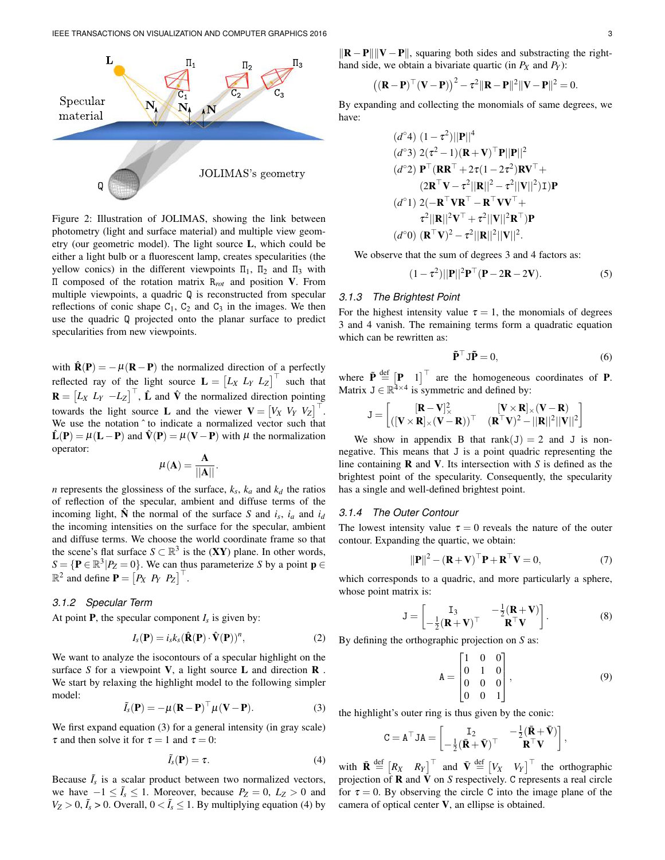

Figure 2: Illustration of JOLIMAS, showing the link between photometry (light and surface material) and multiple view geometry (our geometric model). The light source L, which could be either a light bulb or a fluorescent lamp, creates specularities (the yellow conics) in the different viewpoints  $\Pi_1$ ,  $\Pi_2$  and  $\Pi_3$  with Π composed of the rotation matrix R*rot* and position V. From multiple viewpoints, a quadric Q is reconstructed from specular reflections of conic shape  $C_1$ ,  $C_2$  and  $C_3$  in the images. We then use the quadric Q projected onto the planar surface to predict specularities from new viewpoints.

with  $\hat{\mathbf{R}}(\mathbf{P}) = -\mu(\mathbf{R}-\mathbf{P})$  the normalized direction of a perfectly reflected ray of the light source  $\mathbf{L} = \begin{bmatrix} L_X & L_Y & L_Z \end{bmatrix}^\top$  such that  $\mathbf{R} = \begin{bmatrix} L_X & L_Y & -L_Z \end{bmatrix}^\top$ ,  $\hat{\mathbf{L}}$  and  $\hat{\mathbf{V}}$  the normalized direction pointing towards the light source **L** and the viewer  $V = \begin{bmatrix} V_X & V_Y & V_Z \end{bmatrix}^\top$ . We use the notation  $\hat{ }$  to indicate a normalized vector such that  $\hat{\mathbf{L}}(\mathbf{P}) = \mu(\mathbf{L} - \mathbf{P})$  and  $\hat{\mathbf{V}}(\mathbf{P}) = \mu(\mathbf{V} - \mathbf{P})$  with  $\mu$  the normalization operator:

$$
\mu(\mathbf{A}) = \frac{\mathbf{A}}{||\mathbf{A}||}.
$$

*n* represents the glossiness of the surface,  $k_s$ ,  $k_a$  and  $k_d$  the ratios of reflection of the specular, ambient and diffuse terms of the incoming light,  $\hat{N}$  the normal of the surface *S* and  $i_s$ ,  $i_a$  and  $i_d$ the incoming intensities on the surface for the specular, ambient and diffuse terms. We choose the world coordinate frame so that the scene's flat surface  $S \subset \mathbb{R}^3$  is the  $(\mathbf{X} \mathbf{Y})$  plane. In other words,  $S = {P \in \mathbb{R}^3 | P_Z = 0}.$  We can thus parameterize *S* by a point  $p \in$  $\mathbb{R}^2$  and define  $\mathbf{P} = \begin{bmatrix} P_X & P_Y & P_Z \end{bmatrix}^\top$ .

#### *3.1.2 Specular Term*

At point **P**, the specular component  $I_s$  is given by:

$$
I_s(\mathbf{P}) = i_s k_s (\hat{\mathbf{R}}(\mathbf{P}) \cdot \hat{\mathbf{V}}(\mathbf{P}))^n, \qquad (2)
$$

We want to analyze the isocontours of a specular highlight on the surface *S* for a viewpoint **V**, a light source **L** and direction **R**. We start by relaxing the highlight model to the following simpler model:

$$
\tilde{I}_s(\mathbf{P}) = -\mu (\mathbf{R} - \mathbf{P})^\top \mu (\mathbf{V} - \mathbf{P}). \tag{3}
$$

We first expand equation (3) for a general intensity (in gray scale)  $\tau$  and then solve it for  $\tau = 1$  and  $\tau = 0$ :

$$
\tilde{I}_s(\mathbf{P}) = \tau. \tag{4}
$$

Because  $\tilde{I}_s$  is a scalar product between two normalized vectors, we have  $-1 \leq \tilde{I}_s \leq 1$ . Moreover, because  $P_Z = 0$ ,  $L_Z > 0$  and  $V_Z > 0$ ,  $\tilde{I}_s > 0$ . Overall,  $0 < \tilde{I}_s \leq 1$ . By multiplying equation (4) by

 $\Vert R - P \Vert$   $\Vert V - P \Vert$ , squaring both sides and substracting the righthand side, we obtain a bivariate quartic (in  $P_X$  and  $P_Y$ ):

$$
((\mathbf{R}-\mathbf{P})^{\top}(\mathbf{V}-\mathbf{P}))^{2}-\tau^{2}\|\mathbf{R}-\mathbf{P}\|^{2}\|\mathbf{V}-\mathbf{P}\|^{2}=0.
$$

By expanding and collecting the monomials of same degrees, we have:

$$
(d^{\circ}4) (1 - \tau^2)||\mathbf{P}||^4
$$
  
\n
$$
(d^{\circ}3) 2(\tau^2 - 1)(\mathbf{R} + \mathbf{V})^{\top}\mathbf{P}||\mathbf{P}||^2
$$
  
\n
$$
(d^{\circ}2) \mathbf{P}^{\top}(\mathbf{R}\mathbf{R}^{\top} + 2\tau(1 - 2\tau^2)\mathbf{R}\mathbf{V}^{\top} + (2\mathbf{R}^{\top}\mathbf{V} - \tau^2||\mathbf{R}||^2 - \tau^2||\mathbf{V}||^2)\mathbf{I})\mathbf{P}
$$
  
\n
$$
(d^{\circ}1) 2(-\mathbf{R}^{\top}\mathbf{V}\mathbf{R}^{\top} - \mathbf{R}^{\top}\mathbf{V}\mathbf{V}^{\top} + \tau^2||\mathbf{V}||^2\mathbf{R}^{\top})\mathbf{P}
$$
  
\n
$$
(d^{\circ}0) (\mathbf{R}^{\top}\mathbf{V})^2 - \tau^2||\mathbf{R}||^2||\mathbf{V}||^2.
$$

We observe that the sum of degrees 3 and 4 factors as:

$$
(1 - \tau^2) ||\mathbf{P}||^2 \mathbf{P}^\top (\mathbf{P} - 2\mathbf{R} - 2\mathbf{V}). \tag{5}
$$

## *3.1.3 The Brightest Point*

For the highest intensity value  $\tau = 1$ , the monomials of degrees 3 and 4 vanish. The remaining terms form a quadratic equation which can be rewritten as:

$$
\tilde{\mathbf{P}}^{\top} \mathbf{J} \tilde{\mathbf{P}} = 0,\tag{6}
$$

where  $\tilde{\mathbf{P}} \stackrel{\text{def}}{=} [\mathbf{P} \quad 1]^\top$  are the homogeneous coordinates of **P**. Matrix  $J \in \mathbb{R}^{\frac{3}{4} \times 4}$  is symmetric and defined by:

$$
\mathbf{J} = \begin{bmatrix} [\boldsymbol{R}-\boldsymbol{V}]_\times^2 & [\boldsymbol{V}\times\boldsymbol{R}]_\times(\boldsymbol{V}-\boldsymbol{R}) \\ ([\boldsymbol{V}\times\boldsymbol{R}]_\times(\boldsymbol{V}-\boldsymbol{R}))^\top & (\boldsymbol{R}^\top\boldsymbol{V})^2 - ||\boldsymbol{R}||^2||\boldsymbol{V}||^2 \end{bmatrix}
$$

We show in appendix B that  $rank(J) = 2$  and J is nonnegative. This means that J is a point quadric representing the line containing R and V. Its intersection with *S* is defined as the brightest point of the specularity. Consequently, the specularity has a single and well-defined brightest point.

#### *3.1.4 The Outer Contour*

The lowest intensity value  $\tau = 0$  reveals the nature of the outer contour. Expanding the quartic, we obtain:

$$
\|\mathbf{P}\|^2 - (\mathbf{R} + \mathbf{V})^\top \mathbf{P} + \mathbf{R}^\top \mathbf{V} = 0,\tag{7}
$$

which corresponds to a quadric, and more particularly a sphere, whose point matrix is:

$$
\mathbf{J} = \begin{bmatrix} \mathbf{I}_3 & -\frac{1}{2}(\mathbf{R} + \mathbf{V}) \\ -\frac{1}{2}(\mathbf{R} + \mathbf{V})^\top & \mathbf{R}^\top \mathbf{V} \end{bmatrix} . \tag{8}
$$

By defining the orthographic projection on *S* as:

$$
\mathbf{A} = \begin{bmatrix} 1 & 0 & 0 \\ 0 & 1 & 0 \\ 0 & 0 & 0 \\ 0 & 0 & 1 \end{bmatrix}, \tag{9}
$$

the highlight's outer ring is thus given by the conic:

$$
C = A^{\top} J A = \begin{bmatrix} I_2 & -\frac{1}{2} (\bar{\mathbf{R}} + \bar{\mathbf{V}}) \\ -\frac{1}{2} (\bar{\mathbf{R}} + \bar{\mathbf{V}})^{\top} & \mathbf{R}^{\top} \mathbf{V} \end{bmatrix},
$$

with  $\bar{\mathbf{R}} \stackrel{\text{def}}{=} \begin{bmatrix} R_X & R_Y \end{bmatrix}^\top$  and  $\bar{\mathbf{V}} \stackrel{\text{def}}{=} \begin{bmatrix} V_X & V_Y \end{bmatrix}^\top$  the orthographic projection of  $\bf{R}$  and  $\bf{V}$  on  $S$  respectively. C represents a real circle for  $\tau = 0$ . By observing the circle C into the image plane of the camera of optical center V, an ellipse is obtained.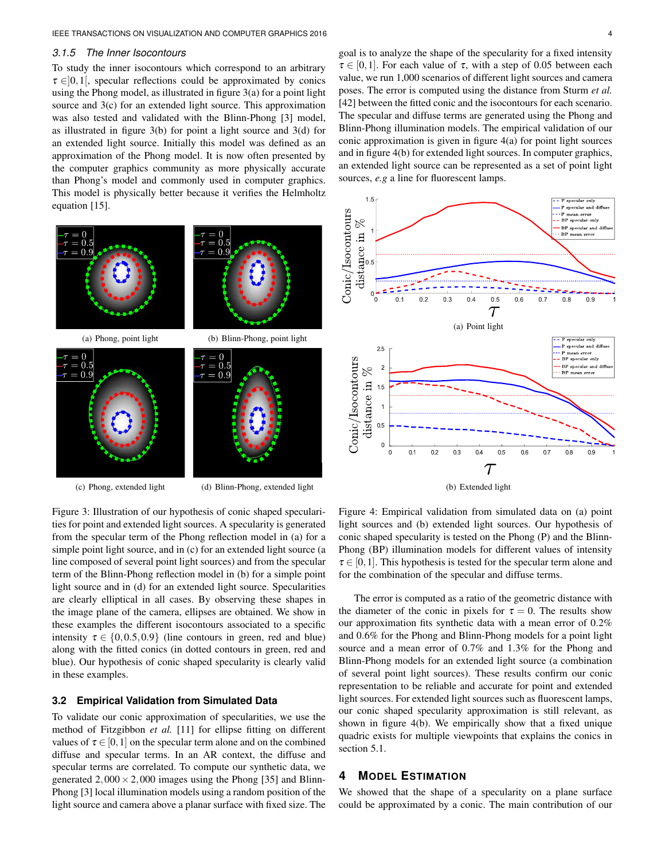#### *3.1.5 The Inner Isocontours*

To study the inner isocontours which correspond to an arbitrary  $\tau \in ]0,1[$ , specular reflections could be approximated by conics using the Phong model, as illustrated in figure 3(a) for a point light source and 3(c) for an extended light source. This approximation was also tested and validated with the Blinn-Phong [3] model, as illustrated in figure 3(b) for point a light source and 3(d) for an extended light source. Initially this model was defined as an approximation of the Phong model. It is now often presented by the computer graphics community as more physically accurate than Phong's model and commonly used in computer graphics. This model is physically better because it verifies the Helmholtz equation [15].

goal is to analyze the shape of the specularity for a fixed intensity  $\tau \in [0,1]$ . For each value of  $\tau$ , with a step of 0.05 between each value, we run 1,000 scenarios of different light sources and camera poses. The error is computed using the distance from Sturm *et al.* [42] between the fitted conic and the isocontours for each scenario. The specular and diffuse terms are generated using the Phong and Blinn-Phong illumination models. The empirical validation of our conic approximation is given in figure 4(a) for point light sources and in figure 4(b) for extended light sources. In computer graphics, an extended light source can be represented as a set of point light sources, *e.g* a line for fluorescent lamps.



(c) Phong, extended light (d) Blinn-Phong, extended light

Figure 3: Illustration of our hypothesis of conic shaped specularities for point and extended light sources. A specularity is generated from the specular term of the Phong reflection model in (a) for a simple point light source, and in (c) for an extended light source (a line composed of several point light sources) and from the specular term of the Blinn-Phong reflection model in (b) for a simple point light source and in (d) for an extended light source. Specularities are clearly elliptical in all cases. By observing these shapes in the image plane of the camera, ellipses are obtained. We show in these examples the different isocontours associated to a specific intensity  $\tau \in \{0, 0.5, 0.9\}$  (line contours in green, red and blue) along with the fitted conics (in dotted contours in green, red and blue). Our hypothesis of conic shaped specularity is clearly valid in these examples.

# **3.2 Empirical Validation from Simulated Data**

To validate our conic approximation of specularities, we use the method of Fitzgibbon *et al.* [11] for ellipse fitting on different values of  $\tau \in [0,1]$  on the specular term alone and on the combined diffuse and specular terms. In an AR context, the diffuse and specular terms are correlated. To compute our synthetic data, we generated  $2,000 \times 2,000$  images using the Phong [35] and Blinn-Phong [3] local illumination models using a random position of the light source and camera above a planar surface with fixed size. The



Figure 4: Empirical validation from simulated data on (a) point light sources and (b) extended light sources. Our hypothesis of conic shaped specularity is tested on the Phong (P) and the Blinn-Phong (BP) illumination models for different values of intensity  $\tau \in [0,1]$ . This hypothesis is tested for the specular term alone and for the combination of the specular and diffuse terms.

The error is computed as a ratio of the geometric distance with the diameter of the conic in pixels for  $\tau = 0$ . The results show our approximation fits synthetic data with a mean error of 0.2% and 0.6% for the Phong and Blinn-Phong models for a point light source and a mean error of 0.7% and 1.3% for the Phong and Blinn-Phong models for an extended light source (a combination of several point light sources). These results confirm our conic representation to be reliable and accurate for point and extended light sources. For extended light sources such as fluorescent lamps, our conic shaped specularity approximation is still relevant, as shown in figure 4(b). We empirically show that a fixed unique quadric exists for multiple viewpoints that explains the conics in section 5.1.

## **4 MODEL ESTIMATION**

We showed that the shape of a specularity on a plane surface could be approximated by a conic. The main contribution of our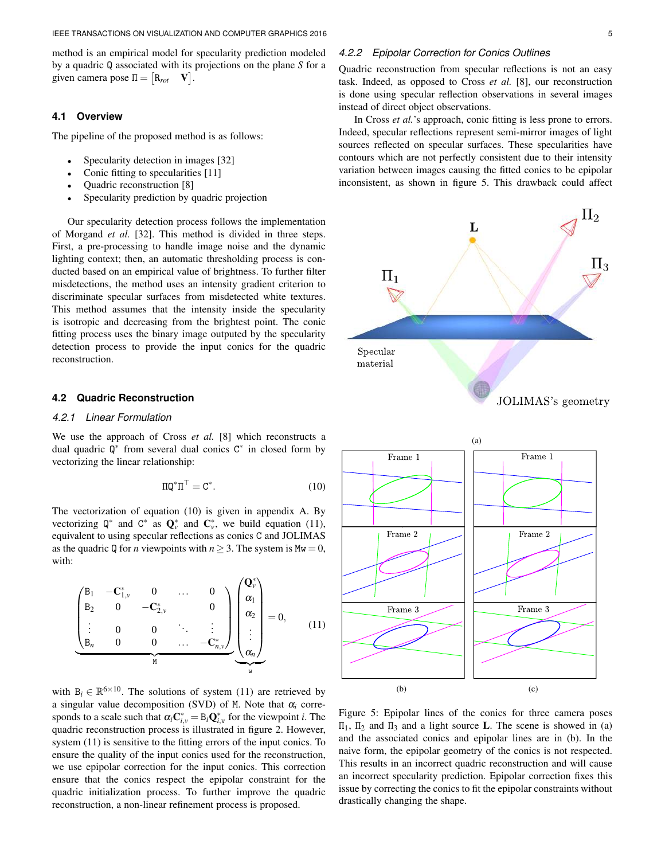method is an empirical model for specularity prediction modeled by a quadric Q associated with its projections on the plane *S* for a given camera pose  $\Pi = \begin{bmatrix} R_{rot} & V \end{bmatrix}$ .

#### **4.1 Overview**

The pipeline of the proposed method is as follows:

- Specularity detection in images [32]
- Conic fitting to specularities [11]
- Quadric reconstruction [8]
- Specularity prediction by quadric projection

Our specularity detection process follows the implementation of Morgand *et al.* [32]. This method is divided in three steps. First, a pre-processing to handle image noise and the dynamic lighting context; then, an automatic thresholding process is conducted based on an empirical value of brightness. To further filter misdetections, the method uses an intensity gradient criterion to discriminate specular surfaces from misdetected white textures. This method assumes that the intensity inside the specularity is isotropic and decreasing from the brightest point. The conic fitting process uses the binary image outputed by the specularity detection process to provide the input conics for the quadric reconstruction.

#### **4.2 Quadric Reconstruction**

#### *4.2.1 Linear Formulation*

We use the approach of Cross *et al.* [8] which reconstructs a dual quadric Q ∗ from several dual conics C ∗ in closed form by vectorizing the linear relationship:

$$
\Pi \mathbf{Q}^* \Pi^\top = \mathbf{C}^*.
$$
 (10)

The vectorization of equation (10) is given in appendix A. By vectorizing  $Q^*$  and  $C^*$  as  $Q^*_{\nu}$  and  $C^*_{\nu}$ , we build equation (11), equivalent to using specular reflections as conics C and JOLIMAS as the quadric Q for *n* viewpoints with  $n \geq 3$ . The system is  $Mw = 0$ , with:

$$
\begin{pmatrix}\nB_1 & -C_{1,\nu}^* & 0 & \dots & 0 \\
B_2 & 0 & -C_{2,\nu}^* & 0 \\
\vdots & 0 & 0 & \ddots & \vdots \\
B_n & 0 & 0 & \dots & -C_{n,\nu}^* \\
\end{pmatrix}\n\begin{pmatrix}\nQ_{\nu}^* \\
\alpha_1 \\
\alpha_2 \\
\vdots \\
\alpha_n\n\end{pmatrix} = 0, \qquad (11)
$$

with  $B_i \in \mathbb{R}^{6 \times 10}$ . The solutions of system (11) are retrieved by a singular value decomposition (SVD) of M. Note that  $\alpha_i$  corresponds to a scale such that  $\alpha_i \mathbf{C}_{i,v}^* = B_i \mathbf{Q}_{i,v}^*$  for the viewpoint *i*. The quadric reconstruction process is illustrated in figure 2. However, system (11) is sensitive to the fitting errors of the input conics. To ensure the quality of the input conics used for the reconstruction, we use epipolar correction for the input conics. This correction ensure that the conics respect the epipolar constraint for the quadric initialization process. To further improve the quadric reconstruction, a non-linear refinement process is proposed.

# *4.2.2 Epipolar Correction for Conics Outlines*

Quadric reconstruction from specular reflections is not an easy task. Indeed, as opposed to Cross *et al.* [8], our reconstruction is done using specular reflection observations in several images instead of direct object observations.

In Cross *et al.*'s approach, conic fitting is less prone to errors. Indeed, specular reflections represent semi-mirror images of light sources reflected on specular surfaces. These specularities have contours which are not perfectly consistent due to their intensity variation between images causing the fitted conics to be epipolar inconsistent, as shown in figure 5. This drawback could affect



Figure 5: Epipolar lines of the conics for three camera poses  $\Pi_1$ ,  $\Pi_2$  and  $\Pi_3$  and a light source **L**. The scene is showed in (a) and the associated conics and epipolar lines are in (b). In the naive form, the epipolar geometry of the conics is not respected. This results in an incorrect quadric reconstruction and will cause an incorrect specularity prediction. Epipolar correction fixes this issue by correcting the conics to fit the epipolar constraints without drastically changing the shape.

 $(b)$  (c)

Frame 3

Frame 3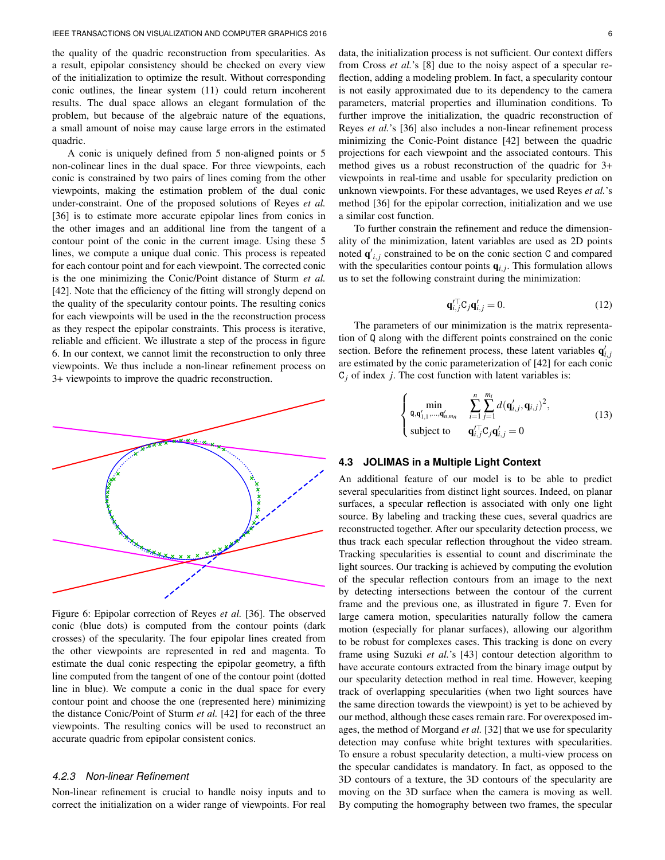the quality of the quadric reconstruction from specularities. As a result, epipolar consistency should be checked on every view of the initialization to optimize the result. Without corresponding conic outlines, the linear system (11) could return incoherent results. The dual space allows an elegant formulation of the problem, but because of the algebraic nature of the equations, a small amount of noise may cause large errors in the estimated quadric.

A conic is uniquely defined from 5 non-aligned points or 5 non-colinear lines in the dual space. For three viewpoints, each conic is constrained by two pairs of lines coming from the other viewpoints, making the estimation problem of the dual conic under-constraint. One of the proposed solutions of Reyes *et al.* [36] is to estimate more accurate epipolar lines from conics in the other images and an additional line from the tangent of a contour point of the conic in the current image. Using these 5 lines, we compute a unique dual conic. This process is repeated for each contour point and for each viewpoint. The corrected conic is the one minimizing the Conic/Point distance of Sturm *et al.* [42]. Note that the efficiency of the fitting will strongly depend on the quality of the specularity contour points. The resulting conics for each viewpoints will be used in the the reconstruction process as they respect the epipolar constraints. This process is iterative, reliable and efficient. We illustrate a step of the process in figure 6. In our context, we cannot limit the reconstruction to only three viewpoints. We thus include a non-linear refinement process on 3+ viewpoints to improve the quadric reconstruction.



Figure 6: Epipolar correction of Reyes *et al.* [36]. The observed conic (blue dots) is computed from the contour points (dark crosses) of the specularity. The four epipolar lines created from the other viewpoints are represented in red and magenta. To estimate the dual conic respecting the epipolar geometry, a fifth line computed from the tangent of one of the contour point (dotted line in blue). We compute a conic in the dual space for every contour point and choose the one (represented here) minimizing the distance Conic/Point of Sturm *et al.* [42] for each of the three viewpoints. The resulting conics will be used to reconstruct an accurate quadric from epipolar consistent conics.

## *4.2.3 Non-linear Refinement*

Non-linear refinement is crucial to handle noisy inputs and to correct the initialization on a wider range of viewpoints. For real data, the initialization process is not sufficient. Our context differs from Cross *et al.*'s [8] due to the noisy aspect of a specular reflection, adding a modeling problem. In fact, a specularity contour is not easily approximated due to its dependency to the camera parameters, material properties and illumination conditions. To further improve the initialization, the quadric reconstruction of Reyes *et al.*'s [36] also includes a non-linear refinement process minimizing the Conic-Point distance [42] between the quadric projections for each viewpoint and the associated contours. This method gives us a robust reconstruction of the quadric for 3+ viewpoints in real-time and usable for specularity prediction on unknown viewpoints. For these advantages, we used Reyes *et al.*'s method [36] for the epipolar correction, initialization and we use a similar cost function.

To further constrain the refinement and reduce the dimensionality of the minimization, latent variables are used as 2D points noted  $\mathbf{q}'_{i,j}$  constrained to be on the conic section C and compared with the specularities contour points  $q_{i,j}$ . This formulation allows us to set the following constraint during the minimization:

$$
\mathbf{q}_{i,j}^{\prime\top}\mathbf{C}_{j}\mathbf{q}_{i,j}^{\prime}=0.\tag{12}
$$

The parameters of our minimization is the matrix representation of Q along with the different points constrained on the conic section. Before the refinement process, these latent variables  $\mathbf{q}'_{i,j}$ are estimated by the conic parameterization of [42] for each conic  $C_j$  of index *j*. The cost function with latent variables is:

$$
\begin{cases}\n\min_{\mathbf{q}, \mathbf{q}'_{1,1}, \dots, \mathbf{q}'_{n,m_n}} & \sum_{i=1}^{n} \sum_{j=1}^{m_i} d(\mathbf{q}'_{i,j}, \mathbf{q}_{i,j})^2, \\
\text{subject to} & \mathbf{q}'_{i,j} \mathbf{C}_{j} \mathbf{q}'_{i,j} = 0\n\end{cases}
$$
\n(13)

#### **4.3 JOLIMAS in a Multiple Light Context**

An additional feature of our model is to be able to predict several specularities from distinct light sources. Indeed, on planar surfaces, a specular reflection is associated with only one light source. By labeling and tracking these cues, several quadrics are reconstructed together. After our specularity detection process, we thus track each specular reflection throughout the video stream. Tracking specularities is essential to count and discriminate the light sources. Our tracking is achieved by computing the evolution of the specular reflection contours from an image to the next by detecting intersections between the contour of the current frame and the previous one, as illustrated in figure 7. Even for large camera motion, specularities naturally follow the camera motion (especially for planar surfaces), allowing our algorithm to be robust for complexes cases. This tracking is done on every frame using Suzuki *et al.*'s [43] contour detection algorithm to have accurate contours extracted from the binary image output by our specularity detection method in real time. However, keeping track of overlapping specularities (when two light sources have the same direction towards the viewpoint) is yet to be achieved by our method, although these cases remain rare. For overexposed images, the method of Morgand *et al.* [32] that we use for specularity detection may confuse white bright textures with specularities. To ensure a robust specularity detection, a multi-view process on the specular candidates is mandatory. In fact, as opposed to the 3D contours of a texture, the 3D contours of the specularity are moving on the 3D surface when the camera is moving as well. By computing the homography between two frames, the specular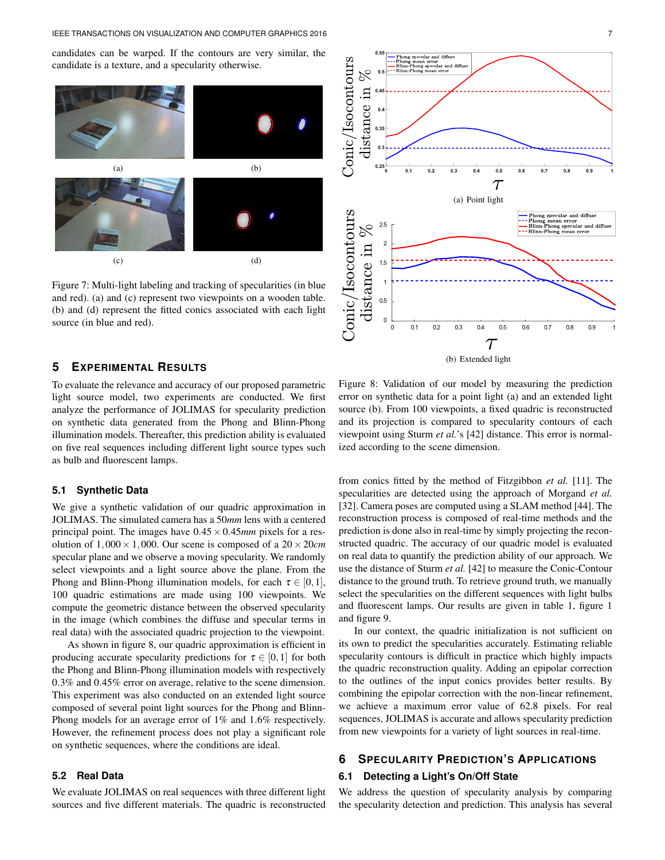candidates can be warped. If the contours are very similar, the candidate is a texture, and a specularity otherwise.



Figure 7: Multi-light labeling and tracking of specularities (in blue and red). (a) and (c) represent two viewpoints on a wooden table. (b) and (d) represent the fitted conics associated with each light source (in blue and red).



# **5 EXPERIMENTAL RESULTS**

To evaluate the relevance and accuracy of our proposed parametric light source model, two experiments are conducted. We first analyze the performance of JOLIMAS for specularity prediction on synthetic data generated from the Phong and Blinn-Phong illumination models. Thereafter, this prediction ability is evaluated on five real sequences including different light source types such as bulb and fluorescent lamps.

#### **5.1 Synthetic Data**

We give a synthetic validation of our quadric approximation in JOLIMAS. The simulated camera has a 50*mm* lens with a centered principal point. The images have  $0.45 \times 0.45$ *mm* pixels for a resolution of  $1,000 \times 1,000$ . Our scene is composed of a  $20 \times 20$ *cm* specular plane and we observe a moving specularity. We randomly select viewpoints and a light source above the plane. From the Phong and Blinn-Phong illumination models, for each  $\tau \in [0,1]$ , 100 quadric estimations are made using 100 viewpoints. We compute the geometric distance between the observed specularity in the image (which combines the diffuse and specular terms in real data) with the associated quadric projection to the viewpoint.

As shown in figure 8, our quadric approximation is efficient in producing accurate specularity predictions for  $\tau \in [0,1]$  for both the Phong and Blinn-Phong illumination models with respectively 0.3% and 0.45% error on average, relative to the scene dimension. This experiment was also conducted on an extended light source composed of several point light sources for the Phong and Blinn-Phong models for an average error of 1% and 1.6% respectively. However, the refinement process does not play a significant role on synthetic sequences, where the conditions are ideal.

# **5.2 Real Data**

We evaluate JOLIMAS on real sequences with three different light sources and five different materials. The quadric is reconstructed

Figure 8: Validation of our model by measuring the prediction error on synthetic data for a point light (a) and an extended light source (b). From 100 viewpoints, a fixed quadric is reconstructed and its projection is compared to specularity contours of each viewpoint using Sturm *et al.*'s [42] distance. This error is normalized according to the scene dimension.

from conics fitted by the method of Fitzgibbon *et al.* [11]. The specularities are detected using the approach of Morgand *et al.* [32]. Camera poses are computed using a SLAM method [44]. The reconstruction process is composed of real-time methods and the prediction is done also in real-time by simply projecting the reconstructed quadric. The accuracy of our quadric model is evaluated on real data to quantify the prediction ability of our approach. We use the distance of Sturm *et al.* [42] to measure the Conic-Contour distance to the ground truth. To retrieve ground truth, we manually select the specularities on the different sequences with light bulbs and fluorescent lamps. Our results are given in table 1, figure 1 and figure 9.

In our context, the quadric initialization is not sufficient on its own to predict the specularities accurately. Estimating reliable specularity contours is difficult in practice which highly impacts the quadric reconstruction quality. Adding an epipolar correction to the outlines of the input conics provides better results. By combining the epipolar correction with the non-linear refinement, we achieve a maximum error value of 62.8 pixels. For real sequences, JOLIMAS is accurate and allows specularity prediction from new viewpoints for a variety of light sources in real-time.

# **6 SPECULARITY PREDICTION'S APPLICATIONS**

## **6.1 Detecting a Light's On/Off State**

We address the question of specularity analysis by comparing the specularity detection and prediction. This analysis has several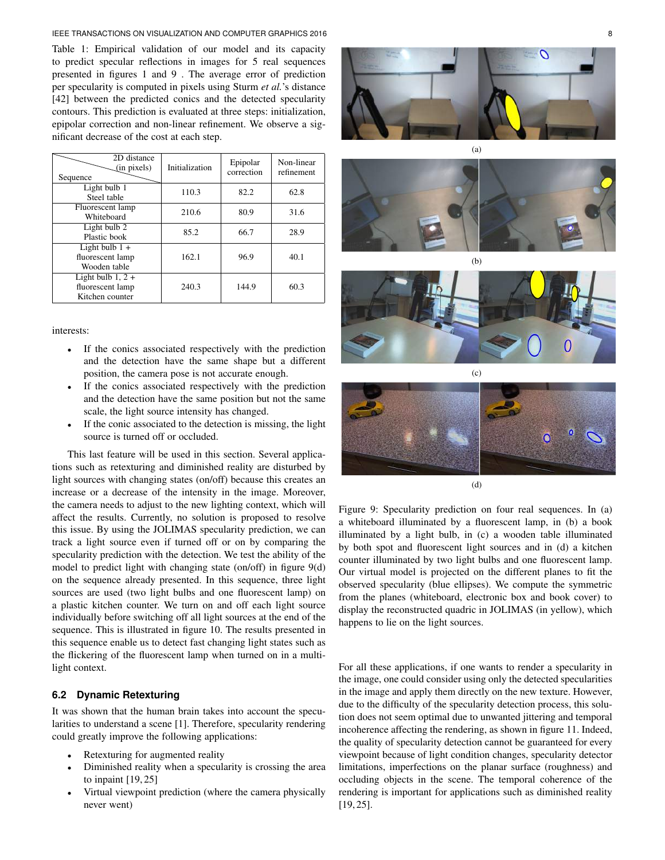IEEE TRANSACTIONS ON VISUALIZATION AND COMPUTER GRAPHICS 2016 8

Table 1: Empirical validation of our model and its capacity to predict specular reflections in images for 5 real sequences presented in figures 1 and 9 . The average error of prediction per specularity is computed in pixels using Sturm *et al.*'s distance [42] between the predicted conics and the detected specularity contours. This prediction is evaluated at three steps: initialization, epipolar correction and non-linear refinement. We observe a significant decrease of the cost at each step.

| 2D distance<br>(in pixels)<br>Sequence                     | Initialization | Epipolar<br>correction | Non-linear<br>refinement |  |  |
|------------------------------------------------------------|----------------|------------------------|--------------------------|--|--|
| Light bulb 1<br>Steel table                                | 110.3          | 82.2                   | 62.8                     |  |  |
| Fluorescent lamp<br>Whiteboard                             | 210.6          | 80.9                   | 31.6                     |  |  |
| Light bulb 2<br>Plastic book                               | 85.2           | 66.7                   | 28.9                     |  |  |
| Light bulb $1 +$<br>fluorescent lamp<br>Wooden table       | 162.1          | 96.9                   | 40.1                     |  |  |
| Light bulb $1, 2 +$<br>fluorescent lamp<br>Kitchen counter | 240.3          | 144.9                  | 60.3                     |  |  |

interests:

- If the conics associated respectively with the prediction and the detection have the same shape but a different position, the camera pose is not accurate enough.
- If the conics associated respectively with the prediction and the detection have the same position but not the same scale, the light source intensity has changed.
- If the conic associated to the detection is missing, the light source is turned off or occluded.

This last feature will be used in this section. Several applications such as retexturing and diminished reality are disturbed by light sources with changing states (on/off) because this creates an increase or a decrease of the intensity in the image. Moreover, the camera needs to adjust to the new lighting context, which will affect the results. Currently, no solution is proposed to resolve this issue. By using the JOLIMAS specularity prediction, we can track a light source even if turned off or on by comparing the specularity prediction with the detection. We test the ability of the model to predict light with changing state (on/off) in figure 9(d) on the sequence already presented. In this sequence, three light sources are used (two light bulbs and one fluorescent lamp) on a plastic kitchen counter. We turn on and off each light source individually before switching off all light sources at the end of the sequence. This is illustrated in figure 10. The results presented in this sequence enable us to detect fast changing light states such as the flickering of the fluorescent lamp when turned on in a multilight context.

# **6.2 Dynamic Retexturing**

It was shown that the human brain takes into account the specularities to understand a scene [1]. Therefore, specularity rendering could greatly improve the following applications:

- Retexturing for augmented reality
- Diminished reality when a specularity is crossing the area to inpaint [19, 25]
- Virtual viewpoint prediction (where the camera physically never went)









Figure 9: Specularity prediction on four real sequences. In (a) a whiteboard illuminated by a fluorescent lamp, in (b) a book illuminated by a light bulb, in (c) a wooden table illuminated by both spot and fluorescent light sources and in (d) a kitchen counter illuminated by two light bulbs and one fluorescent lamp. Our virtual model is projected on the different planes to fit the observed specularity (blue ellipses). We compute the symmetric from the planes (whiteboard, electronic box and book cover) to display the reconstructed quadric in JOLIMAS (in yellow), which happens to lie on the light sources.

For all these applications, if one wants to render a specularity in the image, one could consider using only the detected specularities in the image and apply them directly on the new texture. However, due to the difficulty of the specularity detection process, this solution does not seem optimal due to unwanted jittering and temporal incoherence affecting the rendering, as shown in figure 11. Indeed, the quality of specularity detection cannot be guaranteed for every viewpoint because of light condition changes, specularity detector limitations, imperfections on the planar surface (roughness) and occluding objects in the scene. The temporal coherence of the rendering is important for applications such as diminished reality [19, 25].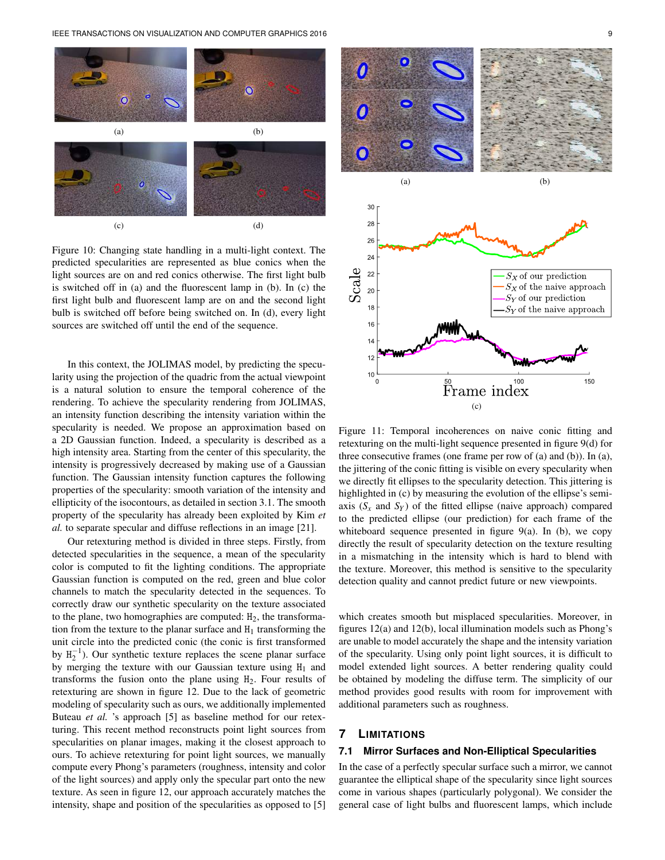

Figure 10: Changing state handling in a multi-light context. The predicted specularities are represented as blue conics when the light sources are on and red conics otherwise. The first light bulb is switched off in (a) and the fluorescent lamp in (b). In (c) the first light bulb and fluorescent lamp are on and the second light bulb is switched off before being switched on. In (d), every light sources are switched off until the end of the sequence.

In this context, the JOLIMAS model, by predicting the specularity using the projection of the quadric from the actual viewpoint is a natural solution to ensure the temporal coherence of the rendering. To achieve the specularity rendering from JOLIMAS, an intensity function describing the intensity variation within the specularity is needed. We propose an approximation based on a 2D Gaussian function. Indeed, a specularity is described as a high intensity area. Starting from the center of this specularity, the intensity is progressively decreased by making use of a Gaussian function. The Gaussian intensity function captures the following properties of the specularity: smooth variation of the intensity and ellipticity of the isocontours, as detailed in section 3.1. The smooth property of the specularity has already been exploited by Kim *et al.* to separate specular and diffuse reflections in an image [21].

Our retexturing method is divided in three steps. Firstly, from detected specularities in the sequence, a mean of the specularity color is computed to fit the lighting conditions. The appropriate Gaussian function is computed on the red, green and blue color channels to match the specularity detected in the sequences. To correctly draw our synthetic specularity on the texture associated to the plane, two homographies are computed:  $H_2$ , the transformation from the texture to the planar surface and  $H_1$  transforming the unit circle into the predicted conic (the conic is first transformed by  $H_2^{-1}$ ). Our synthetic texture replaces the scene planar surface by merging the texture with our Gaussian texture using  $H_1$  and transforms the fusion onto the plane using  $H_2$ . Four results of retexturing are shown in figure 12. Due to the lack of geometric modeling of specularity such as ours, we additionally implemented Buteau *et al.* 's approach [5] as baseline method for our retexturing. This recent method reconstructs point light sources from specularities on planar images, making it the closest approach to ours. To achieve retexturing for point light sources, we manually compute every Phong's parameters (roughness, intensity and color of the light sources) and apply only the specular part onto the new texture. As seen in figure 12, our approach accurately matches the intensity, shape and position of the specularities as opposed to [5]



Figure 11: Temporal incoherences on naive conic fitting and retexturing on the multi-light sequence presented in figure 9(d) for three consecutive frames (one frame per row of (a) and (b)). In (a), the jittering of the conic fitting is visible on every specularity when we directly fit ellipses to the specularity detection. This jittering is highlighted in (c) by measuring the evolution of the ellipse's semiaxis  $(S_x$  and  $S_y$  of the fitted ellipse (naive approach) compared to the predicted ellipse (our prediction) for each frame of the whiteboard sequence presented in figure 9(a). In (b), we copy directly the result of specularity detection on the texture resulting in a mismatching in the intensity which is hard to blend with the texture. Moreover, this method is sensitive to the specularity detection quality and cannot predict future or new viewpoints.

which creates smooth but misplaced specularities. Moreover, in figures 12(a) and 12(b), local illumination models such as Phong's are unable to model accurately the shape and the intensity variation of the specularity. Using only point light sources, it is difficult to model extended light sources. A better rendering quality could be obtained by modeling the diffuse term. The simplicity of our method provides good results with room for improvement with additional parameters such as roughness.

# **7 LIMITATIONS**

# **7.1 Mirror Surfaces and Non-Elliptical Specularities**

In the case of a perfectly specular surface such a mirror, we cannot guarantee the elliptical shape of the specularity since light sources come in various shapes (particularly polygonal). We consider the general case of light bulbs and fluorescent lamps, which include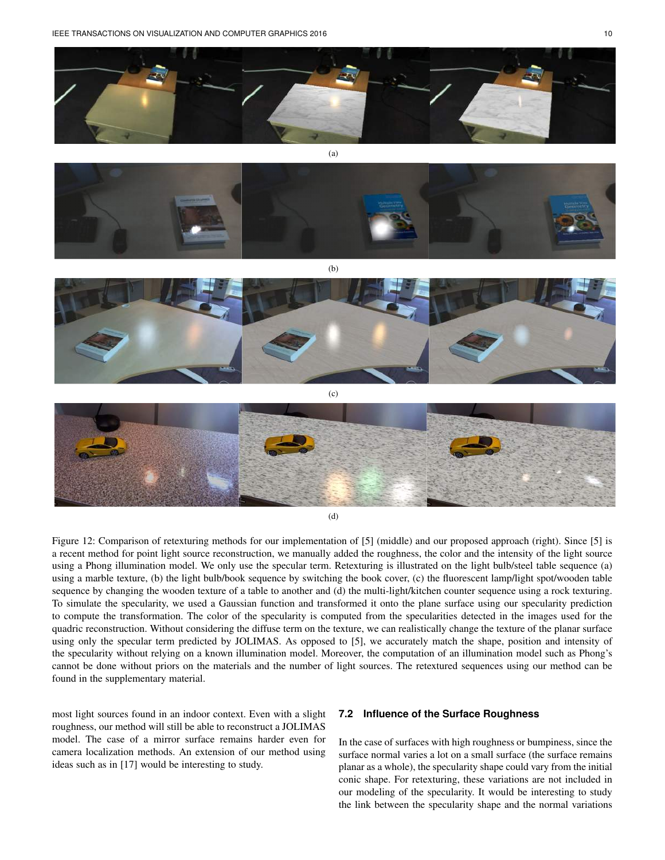







(c)

(d)

Figure 12: Comparison of retexturing methods for our implementation of [5] (middle) and our proposed approach (right). Since [5] is a recent method for point light source reconstruction, we manually added the roughness, the color and the intensity of the light source using a Phong illumination model. We only use the specular term. Retexturing is illustrated on the light bulb/steel table sequence (a) using a marble texture, (b) the light bulb/book sequence by switching the book cover, (c) the fluorescent lamp/light spot/wooden table sequence by changing the wooden texture of a table to another and (d) the multi-light/kitchen counter sequence using a rock texturing. To simulate the specularity, we used a Gaussian function and transformed it onto the plane surface using our specularity prediction to compute the transformation. The color of the specularity is computed from the specularities detected in the images used for the quadric reconstruction. Without considering the diffuse term on the texture, we can realistically change the texture of the planar surface using only the specular term predicted by JOLIMAS. As opposed to [5], we accurately match the shape, position and intensity of the specularity without relying on a known illumination model. Moreover, the computation of an illumination model such as Phong's cannot be done without priors on the materials and the number of light sources. The retextured sequences using our method can be found in the supplementary material.

most light sources found in an indoor context. Even with a slight roughness, our method will still be able to reconstruct a JOLIMAS model. The case of a mirror surface remains harder even for camera localization methods. An extension of our method using ideas such as in [17] would be interesting to study.

# **7.2 Influence of the Surface Roughness**

In the case of surfaces with high roughness or bumpiness, since the surface normal varies a lot on a small surface (the surface remains planar as a whole), the specularity shape could vary from the initial conic shape. For retexturing, these variations are not included in our modeling of the specularity. It would be interesting to study the link between the specularity shape and the normal variations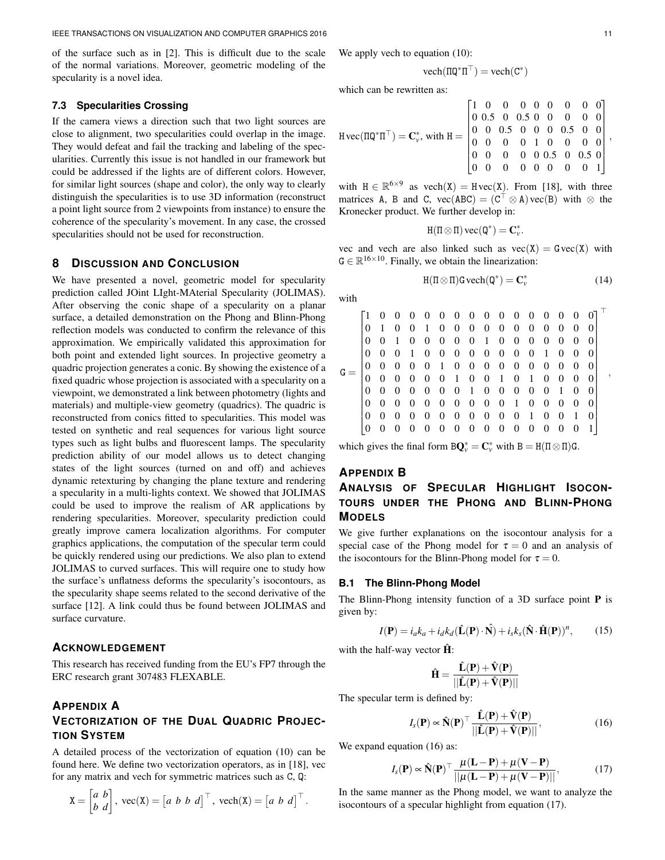of the surface such as in [2]. This is difficult due to the scale of the normal variations. Moreover, geometric modeling of the specularity is a novel idea.

## **7.3 Specularities Crossing**

If the camera views a direction such that two light sources are close to alignment, two specularities could overlap in the image. They would defeat and fail the tracking and labeling of the specularities. Currently this issue is not handled in our framework but could be addressed if the lights are of different colors. However, for similar light sources (shape and color), the only way to clearly distinguish the specularities is to use 3D information (reconstruct a point light source from 2 viewpoints from instance) to ensure the coherence of the specularity's movement. In any case, the crossed specularities should not be used for reconstruction.

# **8 DISCUSSION AND CONCLUSION**

We have presented a novel, geometric model for specularity prediction called JOint LIght-MAterial Specularity (JOLIMAS). After observing the conic shape of a specularity on a planar surface, a detailed demonstration on the Phong and Blinn-Phong reflection models was conducted to confirm the relevance of this approximation. We empirically validated this approximation for both point and extended light sources. In projective geometry a quadric projection generates a conic. By showing the existence of a fixed quadric whose projection is associated with a specularity on a viewpoint, we demonstrated a link between photometry (lights and materials) and multiple-view geometry (quadrics). The quadric is reconstructed from conics fitted to specularities. This model was tested on synthetic and real sequences for various light source types such as light bulbs and fluorescent lamps. The specularity prediction ability of our model allows us to detect changing states of the light sources (turned on and off) and achieves dynamic retexturing by changing the plane texture and rendering a specularity in a multi-lights context. We showed that JOLIMAS could be used to improve the realism of AR applications by rendering specularities. Moreover, specularity prediction could greatly improve camera localization algorithms. For computer graphics applications, the computation of the specular term could be quickly rendered using our predictions. We also plan to extend JOLIMAS to curved surfaces. This will require one to study how the surface's unflatness deforms the specularity's isocontours, as the specularity shape seems related to the second derivative of the surface [12]. A link could thus be found between JOLIMAS and surface curvature.

# **ACKNOWLEDGEMENT**

This research has received funding from the EU's FP7 through the ERC research grant 307483 FLEXABLE.

# **APPENDIX A VECTORIZATION OF THE DUAL QUADRIC PROJEC-TION SYSTEM**

A detailed process of the vectorization of equation (10) can be found here. We define two vectorization operators, as in [18], vec for any matrix and vech for symmetric matrices such as C, Q:

$$
\mathbf{X} = \begin{bmatrix} a & b \\ b & d \end{bmatrix}, \text{ vec}(\mathbf{X}) = \begin{bmatrix} a & b & b & d \end{bmatrix}^\top, \text{ vech}(\mathbf{X}) = \begin{bmatrix} a & b & d \end{bmatrix}^\top.
$$

We apply vech to equation  $(10)$ :

$$
vech(\Pi\mathsf{Q}^*\Pi^\top) = vech(\mathsf{C}^*)
$$

which can be rewritten as:

$$
\text{H}\,\text{vec}(\Pi\mathbf{Q}^*\Pi^\top) = \mathbf{C}^*_v, \text{ with } \text{H} = \begin{bmatrix} 1 & 0 & 0 & 0 & 0 & 0 & 0 & 0 & 0 \\ 0 & 0.5 & 0 & 0.5 & 0 & 0 & 0 & 0 & 0 \\ 0 & 0 & 0.5 & 0 & 0 & 0 & 0.5 & 0 & 0 \\ 0 & 0 & 0 & 0 & 1 & 0 & 0 & 0 & 0 \\ 0 & 0 & 0 & 0 & 0.5 & 0 & 0.5 & 0 \\ 0 & 0 & 0 & 0 & 0 & 0 & 0 & 1 \end{bmatrix},
$$

with  $H \in \mathbb{R}^{6 \times 9}$  as vech(X) = Hvec(X). From [18], with three matrices A, B and C, vec(ABC) =  $(C^{\top} \otimes A)$  vec(B) with  $\otimes$  the Kronecker product. We further develop in:

$$
H(\Pi\otimes\Pi)\,vec(Q^*)=\mathbf C_{\nu}^*.
$$

vec and vech are also linked such as  $vec(X) = Gvec(X)$  with  $G \in \mathbb{R}^{16 \times 10}$ . Finally, we obtain the linearization:

$$
H(\Pi \otimes \Pi)G \, \text{vech}(\mathbf{Q}^*) = \mathbf{C}_{\nu}^* \tag{14}
$$

with

|     |          |                |                | $\left( \right)$ | - 0            | $\overline{0}$  |  |                                        |  | $0 \t0 \t0 \t0 \t0 \t0 \t0$ |                | $\overline{0}$ | $\theta$     |          |  |
|-----|----------|----------------|----------------|------------------|----------------|-----------------|--|----------------------------------------|--|-----------------------------|----------------|----------------|--------------|----------|--|
| G : |          | $\overline{1}$ | $\Omega$       | $\theta$         | - 1            | $\overline{0}$  |  | $0\quad 0\quad 0\quad 0\quad 0$        |  | $\overline{0}$              | $\overline{0}$ | $\theta$       | $\Omega$     |          |  |
|     |          | $\Omega$       |                | $\theta$         | $\theta$       | $\overline{0}$  |  | 0 0 1 0 0                              |  | $\theta$                    | $\Omega$       | $\theta$       | $\theta$     |          |  |
|     | 0        | $\Omega$       | - ()           | $\overline{1}$   | $\overline{0}$ | $\overline{0}$  |  | $0\quad 0\quad 0\quad 0\quad 0$        |  | $\overline{0}$              | $\mathbf{1}$   | $\theta$       | $\theta$     | $\theta$ |  |
|     |          | $\Omega$       | $\theta$       | $\theta$         | $\theta$       | 1 0 0 0 0 0 0   |  |                                        |  |                             | $\overline{0}$ | $\left($       | $\theta$     |          |  |
|     |          | $\theta$       |                | $\theta$         | $\theta$       | $0$ 1 0 0 1 0 1 |  |                                        |  |                             | $\overline{0}$ | $\left($       | $\theta$     |          |  |
|     |          | $\Omega$       | $\overline{0}$ | $\theta$         | $\theta$       | - 0             |  | $0 \t1 \t0 \t0 \t0$                    |  | $\bf{0}$                    | $\theta$       | -1             | $\theta$     |          |  |
|     | 0        | $\Omega$       | $\Omega$       | $\theta$         | $\theta$       | $\overline{0}$  |  | 0 0 0 0 1 0                            |  |                             | $\theta$       | $\theta$       | $\theta$     |          |  |
|     | $\theta$ | $\Omega$       | $\theta$       | $\theta$         | $\theta$       | $\theta$        |  | $0\quad 0\quad 0\quad 0\quad 0$        |  | - 1                         | $\theta$       | $\theta$       | <sup>1</sup> | $\theta$ |  |
|     |          | $\theta$       | $\theta$       | $\theta$         | $\theta$       | $\bf{0}$        |  | $0\quad 0\quad 0\quad 0\quad 0\quad 0$ |  |                             | $\overline{0}$ | $\theta$       | 0            |          |  |
|     |          |                |                |                  |                |                 |  |                                        |  |                             |                |                |              |          |  |

which gives the final form  $BQ_v^* = C_v^*$  with  $B = H(\Pi \otimes \Pi)G$ .

# **APPENDIX B**

# **ANALYSIS OF SPECULAR HIGHLIGHT ISOCON-TOURS UNDER THE PHONG AND BLINN-PHONG MODELS**

We give further explanations on the isocontour analysis for a special case of the Phong model for  $\tau = 0$  and an analysis of the isocontours for the Blinn-Phong model for  $\tau = 0$ .

#### **B.1 The Blinn-Phong Model**

The Blinn-Phong intensity function of a 3D surface point P is given by:

$$
I(\mathbf{P}) = i_a k_a + i_d k_d (\hat{\mathbf{L}}(\mathbf{P}) \cdot \hat{\mathbf{N}}) + i_s k_s (\hat{\mathbf{N}} \cdot \hat{\mathbf{H}}(\mathbf{P}))^n, \qquad (15)
$$

with the half-way vector  $\hat{H}$ :

$$
\hat{H} = \frac{\hat{L}(P) + \hat{V}(P)}{||\hat{L}(P) + \hat{V}(P)||}
$$

The specular term is defined by:

$$
I_{s}(\mathbf{P}) \propto \hat{\mathbf{N}}(\mathbf{P})^{\top} \frac{\hat{\mathbf{L}}(\mathbf{P}) + \hat{\mathbf{V}}(\mathbf{P})}{\|\hat{\mathbf{L}}(\mathbf{P}) + \hat{\mathbf{V}}(\mathbf{P})\|},
$$
(16)

We expand equation  $(16)$  as:

$$
I_{s}(\mathbf{P}) \propto \hat{\mathbf{N}}(\mathbf{P})^{\top} \frac{\mu(\mathbf{L} - \mathbf{P}) + \mu(\mathbf{V} - \mathbf{P})}{\|\mu(\mathbf{L} - \mathbf{P}) + \mu(\mathbf{V} - \mathbf{P})\|},
$$
(17)

In the same manner as the Phong model, we want to analyze the isocontours of a specular highlight from equation (17).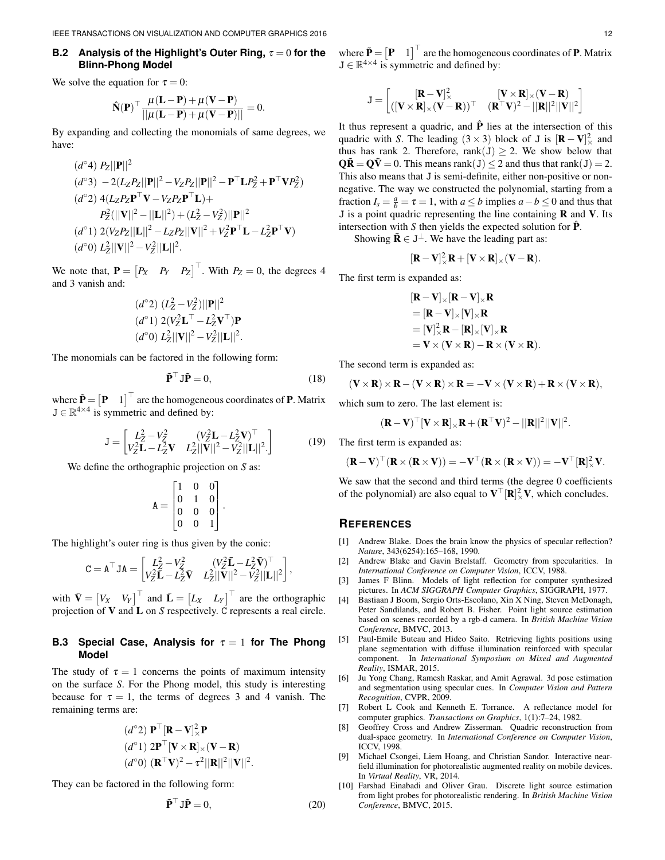# **B.2** Analysis of the Highlight's Outer Ring,  $τ = 0$  for the **Blinn-Phong Model**

We solve the equation for  $\tau = 0$ :

$$
\hat{\mathbf{N}}(\mathbf{P})^{\top} \frac{\mu(\mathbf{L} - \mathbf{P}) + \mu(\mathbf{V} - \mathbf{P})}{||\mu(\mathbf{L} - \mathbf{P}) + \mu(\mathbf{V} - \mathbf{P})||} = 0.
$$

By expanding and collecting the monomials of same degrees, we have:

$$
(d^{\circ}4) P_Z ||P||^2
$$
  
\n
$$
(d^{\circ}3) -2(L_Z P_Z ||P||^2 - V_Z P_Z ||P||^2 - P^{\top} L P_Z^2 + P^{\top} V P_Z^2)
$$
  
\n
$$
(d^{\circ}2) 4(L_Z P_Z P^{\top} V - V_Z P_Z P^{\top} L) + P_Z^2 (||V||^2 - ||L||^2) + (L_Z^2 - V_Z^2) ||P||^2
$$
  
\n
$$
(d^{\circ}1) 2(V_Z P_Z ||L||^2 - L_Z P_Z ||V||^2 + V_Z^2 P^{\top} L - L_Z^2 P^{\top} V)
$$
  
\n
$$
(d^{\circ}0) L_Z^2 ||V||^2 - V_Z^2 ||L||^2.
$$

We note that,  $P = \begin{bmatrix} P_X & P_Y & P_Z \end{bmatrix}^\top$ . With  $P_Z = 0$ , the degrees 4 and 3 vanish and:

$$
(d^{\circ}2) (L_Z^2 - V_Z^2) ||\mathbf{P}||^2
$$
  
\n
$$
(d^{\circ}1) 2(V_Z^2 \mathbf{L}^\top - L_Z^2 \mathbf{V}^\top) \mathbf{P}
$$
  
\n
$$
(d^{\circ}0) L_Z^2 ||\mathbf{V}||^2 - V_Z^2 ||\mathbf{L}||^2.
$$

The monomials can be factored in the following form:

$$
\tilde{\mathbf{P}}^{\top} \mathbf{J} \tilde{\mathbf{P}} = 0,\tag{18}
$$

where  $\tilde{\mathbf{P}} = \begin{bmatrix} \mathbf{P} & 1 \end{bmatrix}^\top$  are the homogeneous coordinates of **P**. Matrix  $J \in \mathbb{R}^{4 \times 4}$  is symmetric and defined by:

$$
\mathbf{J} = \begin{bmatrix} L_Z^2 - V_Z^2 & (V_Z^2 \mathbf{L} - L_Z^2 \mathbf{V})^\top \\ V_Z^2 \mathbf{L} - L_Z^2 \mathbf{V} & L_Z^2 ||\mathbf{V}||^2 - V_Z^2 ||\mathbf{L}||^2. \end{bmatrix}
$$
(19)

We define the orthographic projection on *S* as:

$$
A = \begin{bmatrix} 1 & 0 & 0 \\ 0 & 1 & 0 \\ 0 & 0 & 0 \\ 0 & 0 & 1 \end{bmatrix}.
$$

The highlight's outer ring is thus given by the conic:

$$
\mathbf{C} = \mathbf{A}^{\top} \mathbf{J} \mathbf{A} = \begin{bmatrix} L_Z^2 - V_Z^2 & (V_Z^2 \mathbf{\bar{L}} - L_Z^2 \mathbf{\bar{V}})^{\top} \\ V_Z^2 \mathbf{\bar{L}} - L_Z^2 \mathbf{\bar{V}} & L_Z^2 ||\mathbf{V}||^2 - V_Z^2 ||\mathbf{L}||^2 \end{bmatrix},
$$

with  $\bar{\mathbf{V}} = \begin{bmatrix} V_X & V_Y \end{bmatrix}^\top$  and  $\bar{\mathbf{L}} = \begin{bmatrix} L_X & L_Y \end{bmatrix}^\top$  are the orthographic projection of V and L on *S* respectively. C represents a real circle.

# **B.3 Special Case, Analysis for**  $\tau = 1$  for The Phong **Model**

The study of  $\tau = 1$  concerns the points of maximum intensity on the surface *S*. For the Phong model, this study is interesting because for  $\tau = 1$ , the terms of degrees 3 and 4 vanish. The remaining terms are:

$$
(d^{\circ}2) \mathbf{P}^{\top}[\mathbf{R}-\mathbf{V}]_{\times}^{2} \mathbf{P}
$$
  
\n
$$
(d^{\circ}1) 2\mathbf{P}^{\top}[\mathbf{V} \times \mathbf{R}]_{\times}(\mathbf{V}-\mathbf{R})
$$
  
\n
$$
(d^{\circ}0) (\mathbf{R}^{\top}\mathbf{V})^{2} - \tau^{2}||\mathbf{R}||^{2}||\mathbf{V}||^{2}.
$$

They can be factored in the following form:

$$
\tilde{\mathbf{P}}^{\top} \mathbf{J} \tilde{\mathbf{P}} = 0,\tag{20}
$$

where  $\tilde{\mathbf{P}} = \begin{bmatrix} \mathbf{P} & 1 \end{bmatrix}^\top$  are the homogeneous coordinates of **P**. Matrix  $J \in \mathbb{R}^{4 \times 4}$  is symmetric and defined by:

$$
\mathbf{J} = \begin{bmatrix} [\mathbf{R} - \mathbf{V}]_{\times}^2 & [\mathbf{V} \times \mathbf{R}]_{\times} (\mathbf{V} - \mathbf{R}) \\ ([\mathbf{V} \times \mathbf{R}]_{\times} (\mathbf{V} - \mathbf{R}))^{\top} & (\mathbf{R}^{\top} \mathbf{V})^2 - ||\mathbf{R}||^2 ||\mathbf{V}||^2 \end{bmatrix}
$$

It thus represent a quadric, and  $\hat{P}$  lies at the intersection of this quadric with *S*. The leading  $(3 \times 3)$  block of J is  $[\mathbf{R} - \mathbf{V}]_{\times}^2$  and thus has rank 2. Therefore, rank(J)  $\geq$  2. We show below that  $\overrightarrow{OR} = \overrightarrow{OV} = 0$ . This means rank(J) < 2 and thus that rank(J) = 2. This also means that J is semi-definite, either non-positive or nonnegative. The way we constructed the polynomial, starting from a fraction  $I_s = \frac{a}{b} = \tau = 1$ , with  $a \leq b$  implies  $a - b \leq 0$  and thus that J is a point quadric representing the line containing  **and**  $**V**$ **. Its** intersection with *S* then yields the expected solution for  $\hat{P}$ .

Showing  $\tilde{\mathbf{R}} \in \mathbf{J}^{\perp}$ . We have the leading part as:

$$
[\mathbf{R}-\mathbf{V}]_{\times}^2\mathbf{R} + [\mathbf{V} \times \mathbf{R}]_{\times}(\mathbf{V}-\mathbf{R}).
$$

The first term is expanded as:

$$
[\mathbf{R}-\mathbf{V}]_{\times}[\mathbf{R}-\mathbf{V}]_{\times}\mathbf{R}
$$
  
=  $[\mathbf{R}-\mathbf{V}]_{\times}[\mathbf{V}]_{\times}\mathbf{R}$   
=  $[\mathbf{V}]_{\times}^{2}\mathbf{R}-[\mathbf{R}]_{\times}[\mathbf{V}]_{\times}\mathbf{R}$   
=  $\mathbf{V} \times (\mathbf{V} \times \mathbf{R}) - \mathbf{R} \times (\mathbf{V} \times \mathbf{R}).$ 

The second term is expanded as:

$$
(\mathbf{V} \times \mathbf{R}) \times \mathbf{R} - (\mathbf{V} \times \mathbf{R}) \times \mathbf{R} = -\mathbf{V} \times (\mathbf{V} \times \mathbf{R}) + \mathbf{R} \times (\mathbf{V} \times \mathbf{R}),
$$

which sum to zero. The last element is:

$$
(\mathbf{R}-\mathbf{V})^{\top}[\mathbf{V}\times\mathbf{R}]_{\times}\mathbf{R}+(\mathbf{R}^{\top}\mathbf{V})^2-||\mathbf{R}||^2||\mathbf{V}||^2.
$$

The first term is expanded as:

$$
(\mathbf{R} - \mathbf{V})^{\top} (\mathbf{R} \times (\mathbf{R} \times \mathbf{V})) = -\mathbf{V}^{\top} (\mathbf{R} \times (\mathbf{R} \times \mathbf{V})) = -\mathbf{V}^{\top} [\mathbf{R}]_{\times}^{2} \mathbf{V}.
$$

We saw that the second and third terms (the degree 0 coefficients of the polynomial) are also equal to  $V^{\top}[R]^2 \times V$ , which concludes.

# **REFERENCES**

- [1] Andrew Blake. Does the brain know the physics of specular reflection? *Nature*, 343(6254):165–168, 1990.
- [2] Andrew Blake and Gavin Brelstaff. Geometry from specularities. In *International Conference on Computer Vision*, ICCV, 1988.
- [3] James F Blinn. Models of light reflection for computer synthesized pictures. In *ACM SIGGRAPH Computer Graphics*, SIGGRAPH, 1977.
- [4] Bastiaan J Boom, Sergio Orts-Escolano, Xin X Ning, Steven McDonagh, Peter Sandilands, and Robert B. Fisher. Point light source estimation based on scenes recorded by a rgb-d camera. In *British Machine Vision Conference*, BMVC, 2013.
- [5] Paul-Emile Buteau and Hideo Saito. Retrieving lights positions using plane segmentation with diffuse illumination reinforced with specular component. In *International Symposium on Mixed and Augmented Reality*, ISMAR, 2015.
- [6] Ju Yong Chang, Ramesh Raskar, and Amit Agrawal. 3d pose estimation and segmentation using specular cues. In *Computer Vision and Pattern Recognition*, CVPR, 2009.
- [7] Robert L Cook and Kenneth E. Torrance. A reflectance model for computer graphics. *Transactions on Graphics*, 1(1):7–24, 1982.
- [8] Geoffrey Cross and Andrew Zisserman. Quadric reconstruction from dual-space geometry. In *International Conference on Computer Vision*, ICCV, 1998.
- [9] Michael Csongei, Liem Hoang, and Christian Sandor. Interactive nearfield illumination for photorealistic augmented reality on mobile devices. In *Virtual Reality*, VR, 2014.
- [10] Farshad Einabadi and Oliver Grau. Discrete light source estimation from light probes for photorealistic rendering. In *British Machine Vision Conference*, BMVC, 2015.